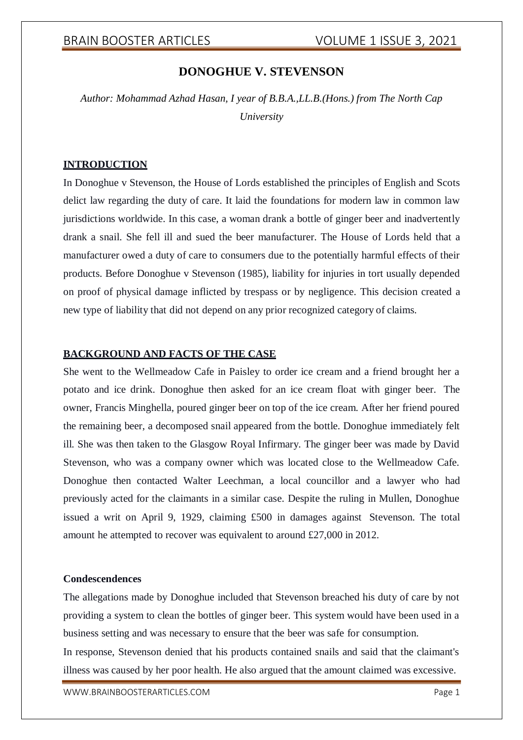# **DONOGHUE V. STEVENSON**

*Author: Mohammad Azhad Hasan, I year of B.B.A.,LL.B.(Hons.) from The North Cap University*

### **INTRODUCTION**

In Donoghue v Stevenson, the House of Lords established the principles of English and Scots delict law regarding the duty of care. It laid the foundations for modern law in common law jurisdictions worldwide. In this case, a woman drank a bottle of ginger beer and inadvertently drank a snail. She fell ill and sued the beer manufacturer. The House of Lords held that a manufacturer owed a duty of care to consumers due to the potentially harmful effects of their products. Before Donoghue v Stevenson (1985), liability for injuries in tort usually depended on proof of physical damage inflicted by trespass or by negligence. This decision created a new type of liability that did not depend on any prior recognized category of claims.

## **BACKGROUND AND FACTS OF THE CASE**

She went to the Wellmeadow Cafe in Paisley to order ice cream and a friend brought her a potato and ice drink. Donoghue then asked for an ice cream float with ginger beer. The owner, Francis Minghella, poured ginger beer on top of the ice cream. After her friend poured the remaining beer, a decomposed snail appeared from the bottle. Donoghue immediately felt ill. She was then taken to the Glasgow Royal Infirmary. The ginger beer was made by David Stevenson, who was a company owner which was located close to the Wellmeadow Cafe. Donoghue then contacted Walter Leechman, a local councillor and a lawyer who had previously acted for the claimants in a similar case. Despite the ruling in Mullen, Donoghue issued a writ on April 9, 1929, claiming £500 in damages against Stevenson. The total amount he attempted to recover was equivalent to around £27,000 in 2012.

### **Condescendences**

The allegations made by Donoghue included that Stevenson breached his duty of care by not providing a system to clean the bottles of ginger beer. This system would have been used in a business setting and was necessary to ensure that the beer was safe for consumption.

In response, Stevenson denied that his products contained snails and said that the claimant's illness was caused by her poor health. He also argued that the amount claimed was excessive.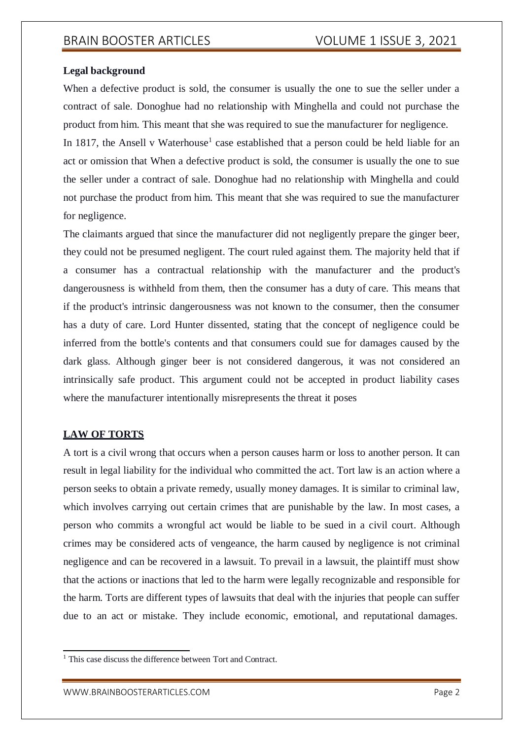## **Legal background**

When a defective product is sold, the consumer is usually the one to sue the seller under a contract of sale. Donoghue had no relationship with Minghella and could not purchase the product from him. This meant that she was required to sue the manufacturer for negligence.

In 1817, the Ansell v Waterhouse<sup>1</sup> case established that a person could be held liable for an act or omission that When a defective product is sold, the consumer is usually the one to sue the seller under a contract of sale. Donoghue had no relationship with Minghella and could not purchase the product from him. This meant that she was required to sue the manufacturer for negligence.

The claimants argued that since the manufacturer did not negligently prepare the ginger beer, they could not be presumed negligent. The court ruled against them. The majority held that if a consumer has a contractual relationship with the manufacturer and the product's dangerousness is withheld from them, then the consumer has a duty of care. This means that if the product's intrinsic dangerousness was not known to the consumer, then the consumer has a duty of care. Lord Hunter dissented, stating that the concept of negligence could be inferred from the bottle's contents and that consumers could sue for damages caused by the dark glass. Although ginger beer is not considered dangerous, it was not considered an intrinsically safe product. This argument could not be accepted in product liability cases where the manufacturer intentionally misrepresents the threat it poses

# **LAW OF TORTS**

A tort is a civil wrong that occurs when a person causes harm or loss to another person. It can result in legal liability for the individual who committed the act. Tort law is an action where a person seeks to obtain a private remedy, usually money damages. It is similar to criminal law, which involves carrying out certain crimes that are punishable by the law. In most cases, a person who commits a wrongful act would be liable to be sued in a civil court. Although crimes may be considered acts of vengeance, the harm caused by negligence is not criminal negligence and can be recovered in a lawsuit. To prevail in a lawsuit, the plaintiff must show that the actions or inactions that led to the harm were legally recognizable and responsible for the harm. Torts are different types of lawsuits that deal with the injuries that people can suffer due to an act or mistake. They include economic, emotional, and reputational damages.

<sup>&</sup>lt;sup>1</sup> This case discuss the difference between Tort and Contract.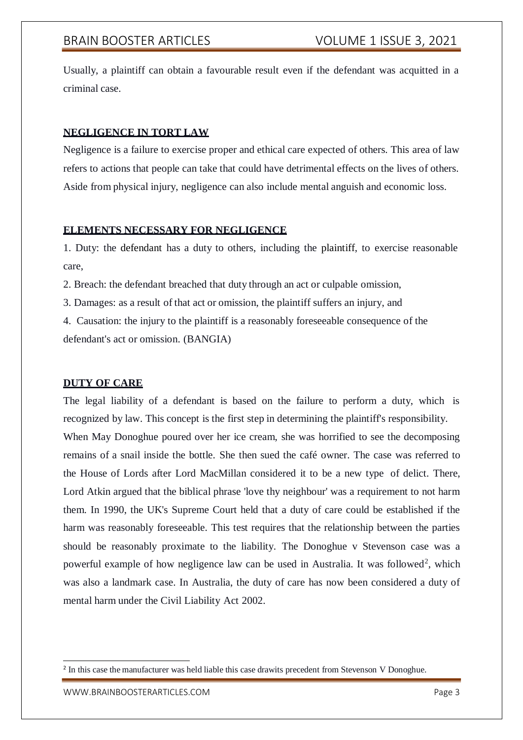# BRAIN BOOSTER ARTICLES VOLUME 1 ISSUE 3, 2021

Usually, a plaintiff can obtain a favourable result even if the defendant was acquitted in a criminal case.

## **NEGLIGENCE IN TORT LAW**

Negligence is a failure to exercise proper and ethical care expected of others. This area of law refers to actions that people can take that could have detrimental effects on the lives of others. Aside from physical injury, negligence can also include mental anguish and economic loss.

### **ELEMENTS NECESSARY FOR NEGLIGENCE**

1. Duty: the defendant has a duty to others, including the plaintiff, to exercise reasonable care,

2. Breach: the defendant breached that duty through an act or culpable omission,

3. Damages: as a result of that act or omission, the plaintiff suffers an injury, and

4. Causation: the injury to the plaintiff is a reasonably foreseeable consequence of the defendant's act or omission. (BANGIA)

## **DUTY OF CARE**

The legal liability of a defendant is based on the failure to perform a duty, which is recognized by law. This concept is the first step in determining the plaintiff's responsibility. When May Donoghue poured over her ice cream, she was horrified to see the decomposing remains of a snail inside the bottle. She then sued the café owner. The case was referred to the House of Lords after Lord MacMillan considered it to be a new type of delict. There, Lord Atkin argued that the biblical phrase 'love thy neighbour' was a requirement to not harm them. In 1990, the UK's Supreme Court held that a duty of care could be established if the harm was reasonably foreseeable. This test requires that the relationship between the parties should be reasonably proximate to the liability. The Donoghue v Stevenson case was a powerful example of how negligence law can be used in Australia. It was followed<sup>2</sup>, which was also a landmark case. In Australia, the duty of care has now been considered a duty of mental harm under the Civil Liability Act 2002.

<sup>&</sup>lt;sup>2</sup> In this case the manufacturer was held liable this case drawits precedent from Stevenson V Donoghue.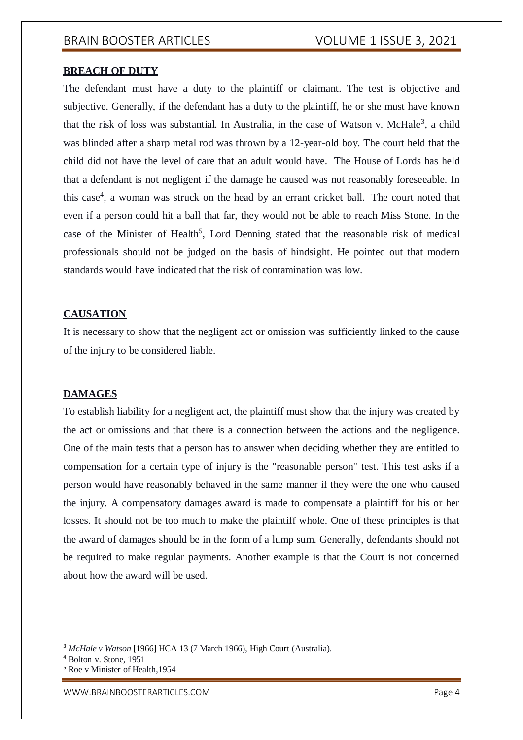### **BREACH OF DUTY**

The defendant must have a duty to the plaintiff or claimant. The test is objective and subjective. Generally, if the defendant has a duty to the plaintiff, he or she must have known that the risk of loss was substantial. In Australia, in the case of Watson v. McHale<sup>3</sup>, a child was blinded after a sharp metal rod was thrown by a 12-year-old boy. The court held that the child did not have the level of care that an adult would have. The House of Lords has held that a defendant is not negligent if the damage he caused was not reasonably foreseeable. In this case<sup>4</sup>, a woman was struck on the head by an errant cricket ball. The court noted that even if a person could hit a ball that far, they would not be able to reach Miss Stone. In the case of the Minister of Health<sup>5</sup>, Lord Denning stated that the reasonable risk of medical professionals should not be judged on the basis of hindsight. He pointed out that modern standards would have indicated that the risk of contamination was low.

### **CAUSATION**

It is necessary to show that the negligent act or omission was sufficiently linked to the cause of the injury to be considered liable.

### **DAMAGES**

To establish liability for a negligent act, the plaintiff must show that the injury was created by the act or omissions and that there is a connection between the actions and the negligence. One of the main tests that a person has to answer when deciding whether they are entitled to compensation for a certain type of injury is the "reasonable person" test. This test asks if a person would have reasonably behaved in the same manner if they were the one who caused the injury. A compensatory damages award is made to compensate a plaintiff for his or her losses. It should not be too much to make the plaintiff whole. One of these principles is that the award of damages should be in the form of a lump sum. Generally, defendants should not be required to make regular payments. Another example is that the Court is not concerned about how the award will be used.

<sup>3</sup> *McHale v Watson* [\[1966\] HCA](http://www.austlii.edu.au/au/cases/cth/HCA/1966/13.html) 13 (7 March 1966), [High Court](https://en.wikipedia.org/wiki/High_Court_of_Australia) (Australia).

<sup>4</sup> Bolton v. Stone, 1951

<sup>5</sup> Roe v Minister of Health,1954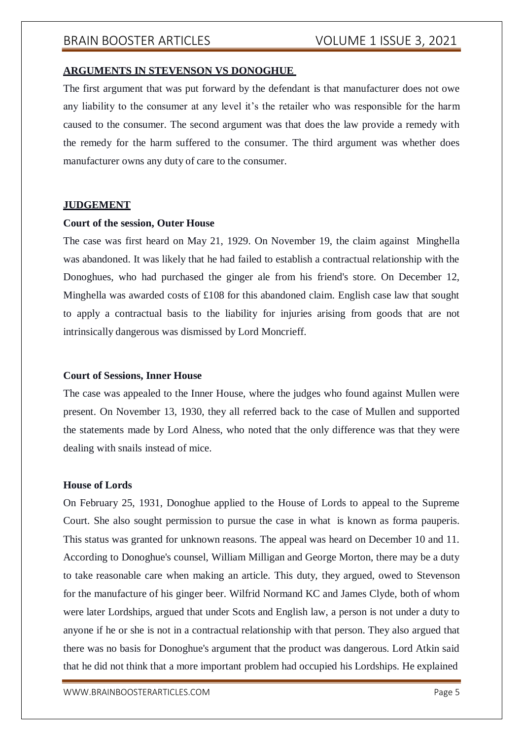# BRAIN BOOSTER ARTICLES VOLUME 1 ISSUE 3, 2021

### **ARGUMENTS IN STEVENSON VS DONOGHUE**

The first argument that was put forward by the defendant is that manufacturer does not owe any liability to the consumer at any level it's the retailer who was responsible for the harm caused to the consumer. The second argument was that does the law provide a remedy with the remedy for the harm suffered to the consumer. The third argument was whether does manufacturer owns any duty of care to the consumer.

### **JUDGEMENT**

### **Court of the session, Outer House**

The case was first heard on May 21, 1929. On November 19, the claim against Minghella was abandoned. It was likely that he had failed to establish a contractual relationship with the Donoghues, who had purchased the ginger ale from his friend's store. On December 12, Minghella was awarded costs of £108 for this abandoned claim. English case law that sought to apply a contractual basis to the liability for injuries arising from goods that are not intrinsically dangerous was dismissed by Lord Moncrieff.

### **Court of Sessions, Inner House**

The case was appealed to the Inner House, where the judges who found against Mullen were present. On November 13, 1930, they all referred back to the case of Mullen and supported the statements made by Lord Alness, who noted that the only difference was that they were dealing with snails instead of mice.

### **House of Lords**

On February 25, 1931, Donoghue applied to the House of Lords to appeal to the Supreme Court. She also sought permission to pursue the case in what is known as forma pauperis. This status was granted for unknown reasons. The appeal was heard on December 10 and 11. According to Donoghue's counsel, William Milligan and George Morton, there may be a duty to take reasonable care when making an article. This duty, they argued, owed to Stevenson for the manufacture of his ginger beer. Wilfrid Normand KC and James Clyde, both of whom were later Lordships, argued that under Scots and English law, a person is not under a duty to anyone if he or she is not in a contractual relationship with that person. They also argued that there was no basis for Donoghue's argument that the product was dangerous. Lord Atkin said that he did not think that a more important problem had occupied his Lordships. He explained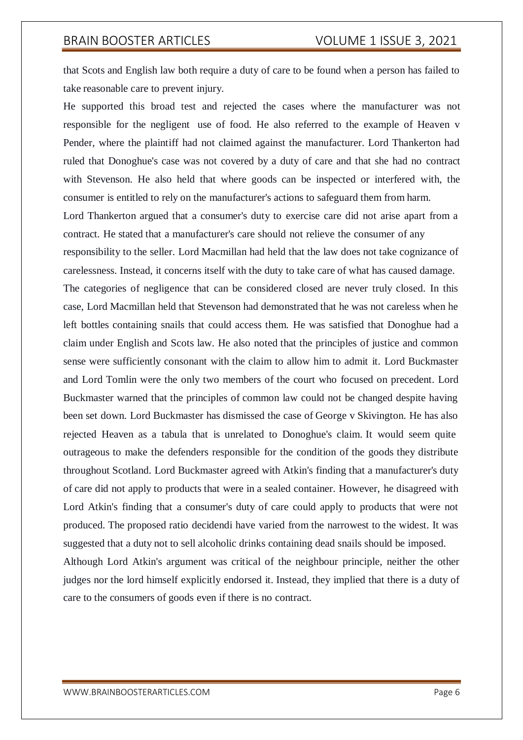# BRAIN BOOSTER ARTICLES VOLUME 1 ISSUE 3, 2021

that Scots and English law both require a duty of care to be found when a person has failed to take reasonable care to prevent injury.

He supported this broad test and rejected the cases where the manufacturer was not responsible for the negligent use of food. He also referred to the example of Heaven v Pender, where the plaintiff had not claimed against the manufacturer. Lord Thankerton had ruled that Donoghue's case was not covered by a duty of care and that she had no contract with Stevenson. He also held that where goods can be inspected or interfered with, the consumer is entitled to rely on the manufacturer's actions to safeguard them from harm.

Lord Thankerton argued that a consumer's duty to exercise care did not arise apart from a contract. He stated that a manufacturer's care should not relieve the consumer of any responsibility to the seller. Lord Macmillan had held that the law does not take cognizance of carelessness. Instead, it concerns itself with the duty to take care of what has caused damage. The categories of negligence that can be considered closed are never truly closed. In this case, Lord Macmillan held that Stevenson had demonstrated that he was not careless when he left bottles containing snails that could access them. He was satisfied that Donoghue had a claim under English and Scots law. He also noted that the principles of justice and common sense were sufficiently consonant with the claim to allow him to admit it. Lord Buckmaster and Lord Tomlin were the only two members of the court who focused on precedent. Lord Buckmaster warned that the principles of common law could not be changed despite having been set down. Lord Buckmaster has dismissed the case of George v Skivington. He has also rejected Heaven as a tabula that is unrelated to Donoghue's claim. It would seem quite outrageous to make the defenders responsible for the condition of the goods they distribute throughout Scotland. Lord Buckmaster agreed with Atkin's finding that a manufacturer's duty of care did not apply to products that were in a sealed container. However, he disagreed with Lord Atkin's finding that a consumer's duty of care could apply to products that were not produced. The proposed ratio decidendi have varied from the narrowest to the widest. It was suggested that a duty not to sell alcoholic drinks containing dead snails should be imposed.

Although Lord Atkin's argument was critical of the neighbour principle, neither the other judges nor the lord himself explicitly endorsed it. Instead, they implied that there is a duty of care to the consumers of goods even if there is no contract.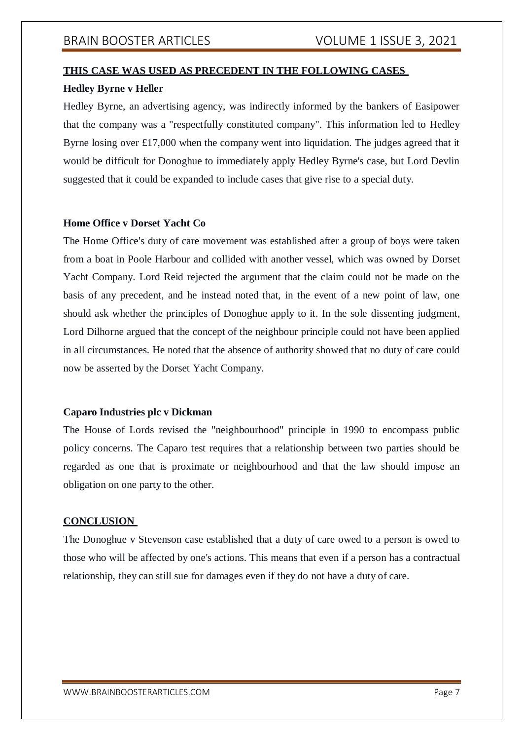# **THIS CASE WAS USED AS PRECEDENT IN THE FOLLOWING CASES**

## **Hedley Byrne v Heller**

Hedley Byrne, an advertising agency, was indirectly informed by the bankers of Easipower that the company was a "respectfully constituted company". This information led to Hedley Byrne losing over £17,000 when the company went into liquidation. The judges agreed that it would be difficult for Donoghue to immediately apply Hedley Byrne's case, but Lord Devlin suggested that it could be expanded to include cases that give rise to a special duty.

## **Home Office v Dorset Yacht Co**

The Home Office's duty of care movement was established after a group of boys were taken from a boat in Poole Harbour and collided with another vessel, which was owned by Dorset Yacht Company. Lord Reid rejected the argument that the claim could not be made on the basis of any precedent, and he instead noted that, in the event of a new point of law, one should ask whether the principles of Donoghue apply to it. In the sole dissenting judgment, Lord Dilhorne argued that the concept of the neighbour principle could not have been applied in all circumstances. He noted that the absence of authority showed that no duty of care could now be asserted by the Dorset Yacht Company.

## **Caparo Industries plc v Dickman**

The House of Lords revised the "neighbourhood" principle in 1990 to encompass public policy concerns. The Caparo test requires that a relationship between two parties should be regarded as one that is proximate or neighbourhood and that the law should impose an obligation on one party to the other.

## **CONCLUSION**

The Donoghue v Stevenson case established that a duty of care owed to a person is owed to those who will be affected by one's actions. This means that even if a person has a contractual relationship, they can still sue for damages even if they do not have a duty of care.